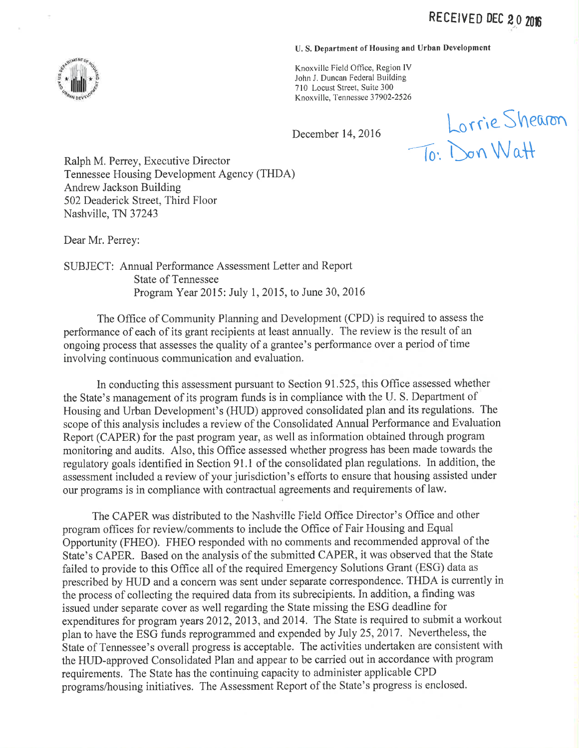### U. S. Department of Housing and Urban Development

Knoxville Field Office, Region IV John J. Duncan Federal Building 710 Locust Street, Suite 300 Knoxville, Tennessee 37902-2526

December 14,2016

Lorrie Shearon  $\int_{0}^{\infty}$  look in  $\mathbb{Q}$ 

Ralph M. Perrey, Executive Director Tennessee Housing Development Agency (THDA) Andrew Jackson Building 502 Deaderick Street, Third Floor Nashville, TN 37243

Dear Mr. Perrey:

SUBJECT: Annual Performance Assessment Letter and Report State of Tennessee Program Year 2015: July 1, 2015, to June 30,2016

The Office of Community Planning and Development (CPD) is required to assess the performance of each of its grant recipients at least annually. The review is the result of an ongoing process that assesses the quality of a grantee's performance over a period of time involving continuous communication and evaluation.

In conducting this assessment pursuant to Section 91.525, this Office assessed whether the State's management of its program funds is in compliance with the LJ. S. Department of Housing and Urban Development's (HUD) approved consolidated plan and its regulations. The scope of this analysis includes a review of the Consolidated Annual Performance and Evaluation Report (CAPER) for the past program year, as well as information obtained through program monitoring and audits. Also, this Office assessed whether progress has been made towards the regulatory goals identified in Section 91.1 of the consolidated plan regulations. In addition, the assessment included a review of your jurisdiction's efforts to ensure that housing assisted under our programs is in compliance with contractual agreements and requirements of law.

The CAPER was distributed to the Nashville Field Office Director's Office and other program offices for review/comments to include the Office of Fair Housing and Equal Opportunity (FHEO). FHEO responded with no comments and recommended approval of the State's CAPER. Based on the analysis of the submitted CAPER, it was observed that the State failed to provide to this Office all of the required Emergency Solutions Grant (ESG) data as prescribed by HUD and a concern was sent under separate correspondence. THDA is currently in the process of collecting the required data from its subrecipients. In addition, a finding was issued under separate cover as well regarding the State missing the ESG deadline for expenditures for program years 2012, 2013, and 2014. The State is required to submit a workout plan to have the ESG funds reprogrammed and expended by July 25,2017. Nevertheless, the State of Tennessee's overall progress is acceptable. The activities undertaken are consistent with the HUD-approved Consolidated Plan and appear to be carried out in accordance with program requirements. The State has the continuing capacity to administer applicable CPD programs/housing initiatives. The Assessment Report of the State's progress is enclosed.

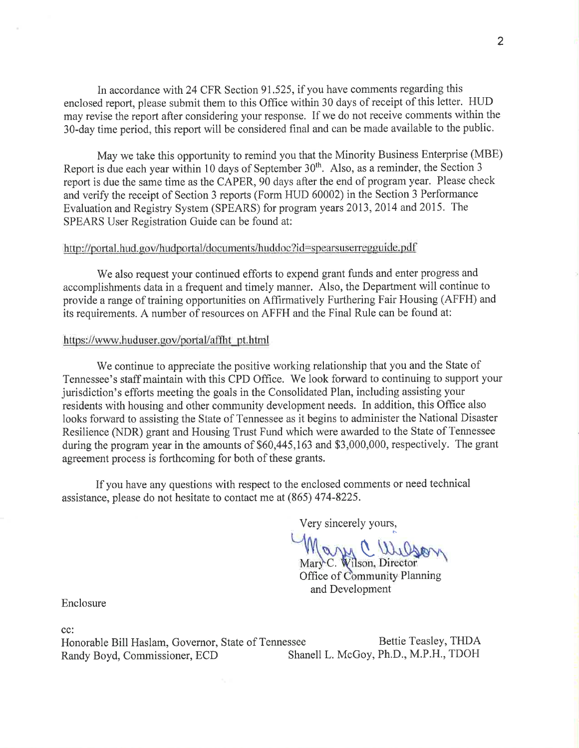In accordance with 24 CFR Section 91.525, if you have comments regarding this enclosed report, please submit them to this Office within 30 days of receipt of this letter. HUD may revise the report after considering your response. If we do not receive comments within the 30-day time period, this report will be considered final and can be made available to the public.

May we take this opportunity to remind you that the Minority Business Enterprise (MBE) Report is due each year within 10 days of September 30<sup>th</sup>. Also, as a reminder, the Section 3 report is due the same time as the CAPER, 90 days after the end of program year. Please check and verify the receipt of Section 3 reports (Form HUD 60002) in the Section 3 Performance Evaluation and Registry System (SPEARS) for program years 2013 ,2014 and 2015. The SPEARS User Registration Guide can be found at:

### http://portal.hud.gov/hudportal/documents/huddoc?id=spearsuserregguide.pdf

We also request your continued efforts to expend grant funds and enter progress and accomplishments data in a frequent and timely manner. Also, the Department will continue to provide a range of training opportunities on Affirmatively Furthering Fair Housing (AFFH) and its requirements. A number of resources on AFFH and the Final Rule can be found at:

### https://www.huduser.gov/portal/affht\_pt.html

We continue to appreciate the positive working relationship that you and the State of Tennessee's staff maintain with this CPD Office. We look forward to continuing to support your jurisdiction's efforts meeting the goals in the Consolidated Plan, including assisting your residents with housing and other community development needs. In addition, this Office also looks forward to assisting the State of Tennessee as it begins to administer the National Disaster Resilience (NDR) grant and Housing Trust Fund which were awarded to the State of Tennessee during the program year in the amounts of \$60,445,163 and \$3,000,000, respectively. The grant agreement process is forthcoming for both of these grants.

If you have any questions with respect to the enclosed comments or need technical assistance, please do not hesitate to contact me at (865) 474-8225.

Very sincerely yours,

UM C Wilson

Office of Community Planning and Development **Director** 

Enclosure

cc:

Honorable Bill Haslam, Governor, State of Tennessee Bettie Teasley, THDA Randy Boyd, Commissioner, ECD Shanell L. McGoy, Ph.D., M.P.H., TDOH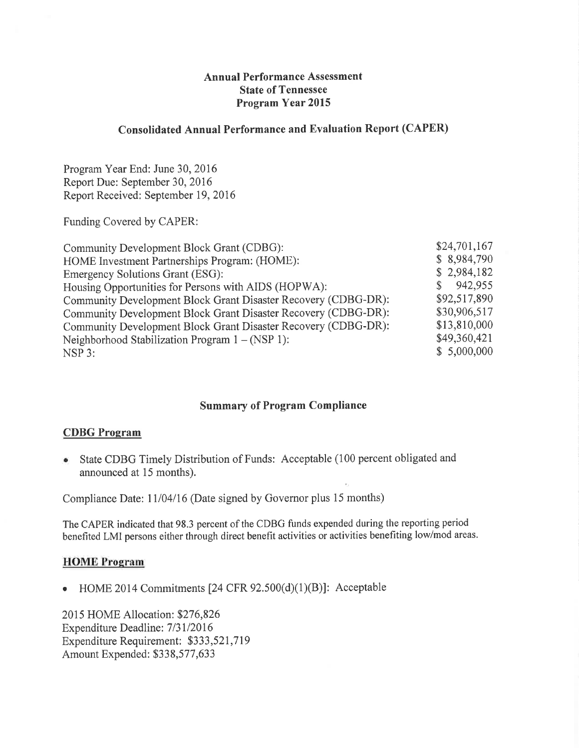# Annual Performance Assessment State of Tennessee Program Year 2015

## Consolidated Annual Performance and Evaluation Report (CAPER)

Program Year End: June 30, 2016 Report Due: September 30, 2016 Report Received: September 19, 2016

Funding Covered by CAPER:

| Community Development Block Grant (CDBG):                      | \$24,701,167 |
|----------------------------------------------------------------|--------------|
| HOME Investment Partnerships Program: (HOME):                  | \$8,984,790  |
| <b>Emergency Solutions Grant (ESG):</b>                        | \$2,984,182  |
| Housing Opportunities for Persons with AIDS (HOPWA):           | 942,955      |
| Community Development Block Grant Disaster Recovery (CDBG-DR): | \$92,517,890 |
| Community Development Block Grant Disaster Recovery (CDBG-DR): | \$30,906,517 |
| Community Development Block Grant Disaster Recovery (CDBG-DR): | \$13,810,000 |
| Neighborhood Stabilization Program $1 - (NSP 1)$ :             | \$49,360,421 |
| NSP 3:                                                         | \$5,000,000  |
|                                                                |              |

# Summary of Program Compliance

## **CDBG** Program

• State CDBG Timely Distribution of Funds: Acceptable (100 percent obligated and announced at 15 months).

Compliance Date: 11/04/16 (Date signed by Governor plus 15 months)

The CAPER indicated that 98.3 percent of the CDBG funds expended during the reporting period benefited LMI persons either through direct benefit activities or activities benefiting low/mod areas.

### HOME Program

• HOME 2014 Commitments  $[24 \text{ CFR } 92.500(d)(1)(B)]$ : Acceptable

2015 HOME Allocation: \$276,826 Expenditure Deadline: 7/31/2016 Expenditure Requirement: \$333,521,7 19 Amount Expended: 5338,577,633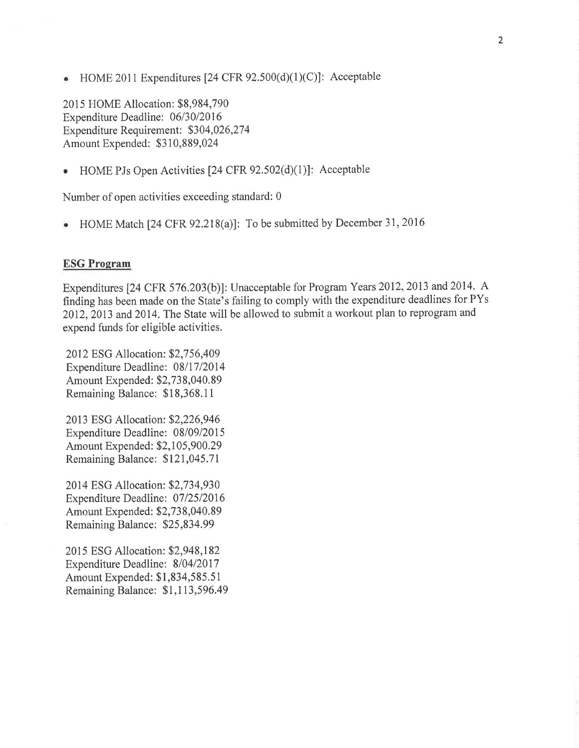HOME 2011 Expenditures [24 CFR  $92.500(d)(1)(C)$ ]: Acceptable  $\bullet$ 

2015 HOME Allocation: \$8,984,790 Expenditure Deadline: 06/30/2016 Expenditure Requirement: \$304,026,274 Amount Expended: \$310,889,024

• HOME PJs Open Activities [24 CFR  $92.502(d)(1)$ ]: Acceptable

Number of open activities exceeding standard: 0

HOME Match [24 CFR 92.218(a)]: To be submitted by December 31,2016

#### **ESG Program**

Expenditures [24 CFR 576.203(b)]: Unacceptable for Program Years 2012, 2013 and 2014. A frnding has been made on the State's failing to comply with the expenditure deadlines for PYs 2012, 2013 and 2014. The State will be allowed to submit a workout plan to reprogram and expend funds for eligible activities.

2012 ESG Allocation: \$2,756,409 Expenditure Deadline: 08/17/2014 Amount Expended: \$2,73 8,040.89 Remaining Balance: \$1 8,368.1 I

2013 ESG Allocation: 52,226,946 Expenditure Deadline: 08/09/2015 Amount Expended: \$2,105,900.29 Remaining Balance: 5121,045.7 I

2014 ESG Allocation: \$2,734,930 Expenditure Deadline: 07/25/2016 Amount Expended: \$2,738,040.89 Remaining Balance: 525,834.99

2015 ESG Allocation: \$2,948,182 Expenditure Deadline: 8/04/2017 Amount Expended: \$1,834,585.51 Remaining Balance: \$1,1 13,596.49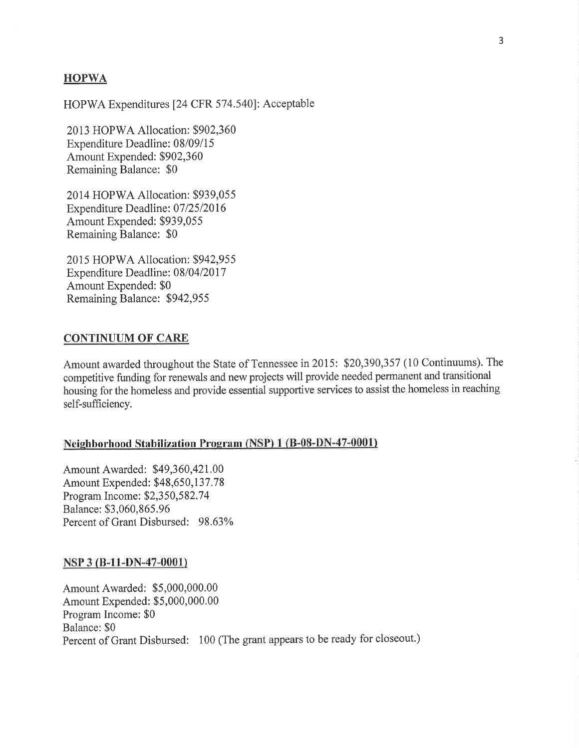### **HOPWA**

HOPWA Expenditures [24 CFR 574.540]: Acceptable

2013 HOPWA Allocation: \$902,360 Expenditure Deadline: 08/09/15 Amount Expended: \$902,360 Remaining Balance: \$0

2014 HOPWA Allocation: \$939,055 Expenditure Deadline: 07/25/2016 Amount Expended: \$939,055 Remaining Balance: \$0

2015 HOPWA Allocation: \$942,955 Expenditure Deadline: 08/04/2017 Amount Expended: \$0 Remaining Balance: 5942,955

## CONTINUUM OF CARE

Amount awarded throughout the State of Tennessee in 2015: \$20,390,357 (10 Continuums). The competitive funding for renewals and new projects will provide needed permanent and transitional housing for the homeless and provide essential supportive services to assist the homeless in reaching self-sufficiency.

### Neighborhood Stabilization Program (NSP) 1 (B-08-DN-47-0001)

Amount Awarded: 549,360,421.00 Amount Expended: \$48,650,137.78 Program Income: \$2,350,582.74 Balance: \$3,060,865.96 Percent of Grant Disbursed: 98.63%

#### NSP 3 ß-11-pN-47-0001)

Amount Awarded: \$5,000,000.00 Amount Expended: \$5,000,000.00 Program Income: \$0 Balance: \$0 Percent of Grant Disbursed: 100 (The grant appears to be ready for closeout.)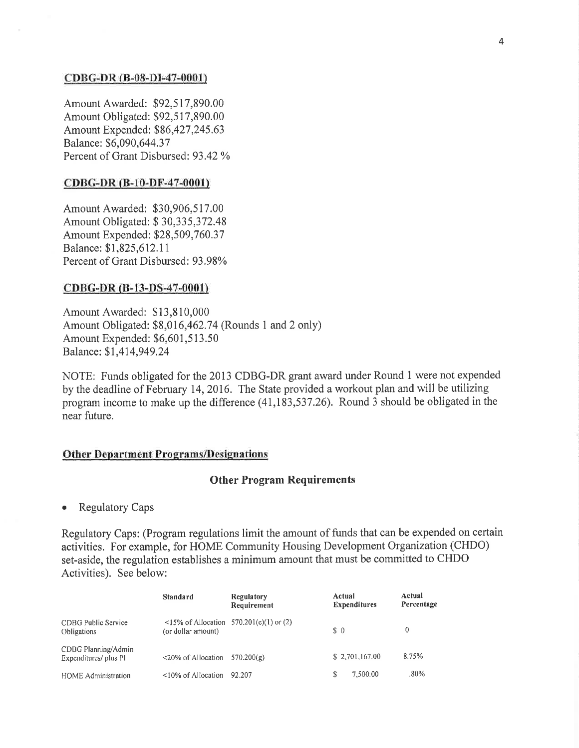#### CDBG-DR ß-08-DI-47-0001)

Amount Awarded: \$92,517,890.00 Amount Obligated: \$92,517,890.00 Amount Expended: \$86,427,245.63 Balance: \$6,090,644.37 Percent of Grant Disbursed: 93.42 %

#### CDBG-DR (B-10-DF-47-0001)

Amount Awarded: \$30,906,517.00 Amount Obligated: S 30,335,372.48 Amount Expended: \$28,509,760.37 Balance: \$1,825,612. 1 I Percent of Grant Disbursed: 93.98%

#### cpBG-pR (B-13-pS-47-0001)

Amount Awarded: \$13,8 10,000 Amount Obligated: 88,016,462.74 (Rounds 1 and 2 only) Amount Expended: \$6,601,513.50 Balance: 91,414,949.24

NOTE: Funds obligated for the 2013 CDBG-DR grant award under Round 1 were not expended by the deadline of February 14,2016, The State provided a workout plan and will be utilizing program income to make up the difference (41,183,537.26). Round 3 should be obligated in the near future.

#### **Other Department Programs/Designations**

#### Other Program Requirements

• Regulatory Caps

Regulatory Caps: (Program regulations limit the amount of funds that can be expended on certain activities. For example, for HOME Community Housing Development Organization (CHDO) set-aside, the regulation establishes a minimum amount that must be committed to CHDO Activities). See below:

|                                              | <b>Standard</b>          | <b>Regulatory</b><br>Requirement          | Actual<br><b>Expenditures</b> | Actual<br>Percentage |
|----------------------------------------------|--------------------------|-------------------------------------------|-------------------------------|----------------------|
| CDBG Public Service<br><b>Obligations</b>    | (or dollar amount)       | $15\%$ of Allocation 570.201(e)(1) or (2) | $\Omega$                      | 0                    |
| CDBG Planning/Admin<br>Expenditures/ plus PI | <20% of Allocation       | 570.200(g)                                | \$2,701,167.00                | 8.75%                |
| <b>HOME Administration</b>                   | $\leq$ 10% of Allocation | 92.207                                    | 7.500.00                      | $.80\%$              |